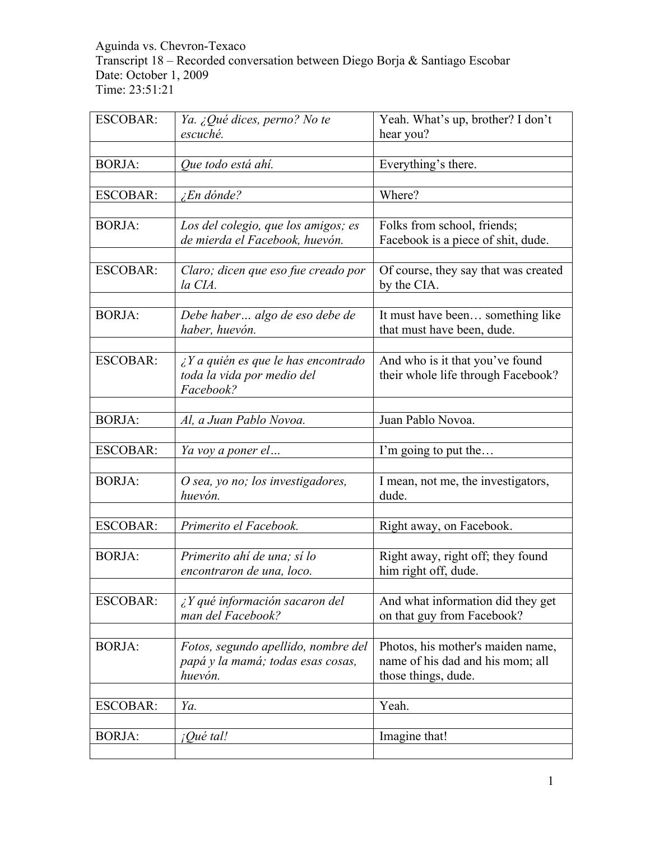#### Aguinda vs. Chevron-Texaco Transcript 18 – Recorded conversation between Diego Borja & Santiago Escobar Date: October 1, 2009 Time: 23:51:21

| <b>ESCOBAR:</b> | Ya. ¿Qué dices, perno? No te                                                           | Yeah. What's up, brother? I don't                                                            |
|-----------------|----------------------------------------------------------------------------------------|----------------------------------------------------------------------------------------------|
|                 | escuché.                                                                               | hear you?                                                                                    |
| <b>BORJA:</b>   | Que todo está ahí.                                                                     | Everything's there.                                                                          |
|                 |                                                                                        |                                                                                              |
| <b>ESCOBAR:</b> | <i>En dónde?</i>                                                                       | Where?                                                                                       |
|                 |                                                                                        |                                                                                              |
| <b>BORJA:</b>   | Los del colegio, que los amigos; es<br>de mierda el Facebook, huevón.                  | Folks from school, friends;<br>Facebook is a piece of shit, dude.                            |
| <b>ESCOBAR:</b> | Claro; dicen que eso fue creado por<br>la CIA.                                         | Of course, they say that was created<br>by the CIA.                                          |
|                 |                                                                                        |                                                                                              |
| <b>BORJA:</b>   | Debe haber algo de eso debe de<br>haber, huevón.                                       | It must have been something like<br>that must have been, dude.                               |
|                 |                                                                                        |                                                                                              |
| <b>ESCOBAR:</b> | $\angle Y$ a quién es que le has encontrado<br>toda la vida por medio del<br>Facebook? | And who is it that you've found<br>their whole life through Facebook?                        |
|                 |                                                                                        |                                                                                              |
| <b>BORJA:</b>   | Al, a Juan Pablo Novoa.                                                                | Juan Pablo Novoa.                                                                            |
| <b>ESCOBAR:</b> | Ya voy a poner el                                                                      | I'm going to put the                                                                         |
|                 |                                                                                        |                                                                                              |
| <b>BORJA:</b>   | O sea, yo no; los investigadores,<br>huevón.                                           | I mean, not me, the investigators,<br>dude.                                                  |
|                 |                                                                                        |                                                                                              |
| <b>ESCOBAR:</b> | Primerito el Facebook.                                                                 | Right away, on Facebook.                                                                     |
| <b>BORJA:</b>   | Primerito ahí de una; sí lo<br>encontraron de una, loco.                               | Right away, right off; they found<br>him right off, dude.                                    |
|                 |                                                                                        |                                                                                              |
| <b>ESCOBAR:</b> | $i Y$ qué información sacaron del<br>man del Facebook?                                 | And what information did they get<br>on that guy from Facebook?                              |
|                 |                                                                                        |                                                                                              |
| <b>BORJA:</b>   | Fotos, segundo apellido, nombre del<br>papá y la mamá; todas esas cosas,<br>huevón.    | Photos, his mother's maiden name,<br>name of his dad and his mom; all<br>those things, dude. |
| <b>ESCOBAR:</b> | Ya.                                                                                    | Yeah.                                                                                        |
|                 |                                                                                        |                                                                                              |
| <b>BORJA:</b>   | <i>iQué tal!</i>                                                                       | Imagine that!                                                                                |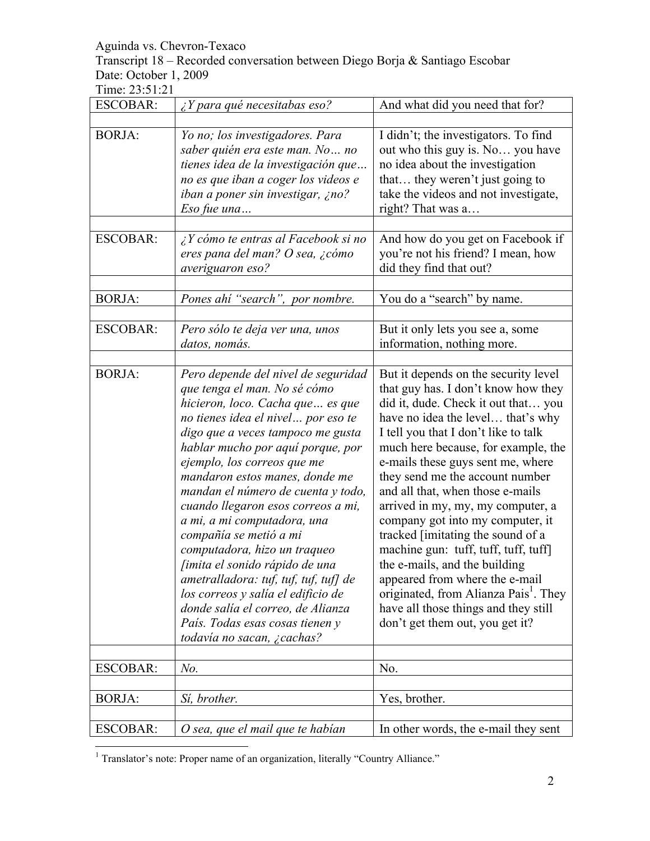Transcript 18 – Recorded conversation between Diego Borja & Santiago Escobar Date: October 1, 2009

| <b>ESCOBAR:</b> | $\chi$ Y para qué necesitabas eso?           | And what did you need that for?                   |
|-----------------|----------------------------------------------|---------------------------------------------------|
|                 |                                              |                                                   |
| <b>BORJA:</b>   | Yo no; los investigadores. Para              | I didn't; the investigators. To find              |
|                 | saber quién era este man. No no              | out who this guy is. No you have                  |
|                 | tienes idea de la investigación que          | no idea about the investigation                   |
|                 | no es que iban a coger los videos e          | that they weren't just going to                   |
|                 | iban a poner sin investigar, ¿no?            | take the videos and not investigate,              |
|                 | Eso fue una                                  | right? That was a                                 |
|                 |                                              |                                                   |
| <b>ESCOBAR:</b> | $\lambda$ Y cómo te entras al Facebook si no | And how do you get on Facebook if                 |
|                 | eres pana del man? O sea, ¿cómo              | you're not his friend? I mean, how                |
|                 | averiguaron eso?                             | did they find that out?                           |
|                 |                                              |                                                   |
| <b>BORJA:</b>   | Pones ahi "search", por nombre.              | You do a "search" by name.                        |
|                 |                                              |                                                   |
| <b>ESCOBAR:</b> | Pero sólo te deja ver una, unos              | But it only lets you see a, some                  |
|                 | datos, nomás.                                | information, nothing more.                        |
|                 |                                              |                                                   |
| <b>BORJA:</b>   | Pero depende del nivel de seguridad          | But it depends on the security level              |
|                 | que tenga el man. No sé cómo                 | that guy has. I don't know how they               |
|                 | hicieron, loco. Cacha que es que             | did it, dude. Check it out that you               |
|                 | no tienes idea el nivel  por eso te          | have no idea the level that's why                 |
|                 | digo que a veces tampoco me gusta            | I tell you that I don't like to talk              |
|                 | hablar mucho por aquí porque, por            | much here because, for example, the               |
|                 | ejemplo, los correos que me                  | e-mails these guys sent me, where                 |
|                 | mandaron estos manes, donde me               | they send me the account number                   |
|                 | mandan el número de cuenta y todo,           | and all that, when those e-mails                  |
|                 | cuando llegaron esos correos a mi,           | arrived in my, my, my computer, a                 |
|                 | a mi, a mi computadora, una                  | company got into my computer, it                  |
|                 | compañía se metió a mi                       | tracked [imitating the sound of a                 |
|                 | computadora, hizo un traqueo                 | machine gun: tuff, tuff, tuff, tuff]              |
|                 | <i>fimita el sonido rápido de una</i>        | the e-mails, and the building                     |
|                 | ametralladora: tuf, tuf, tuf, tuf] de        | appeared from where the e-mail                    |
|                 | los correos y salía el edificio de           | originated, from Alianza Pais <sup>1</sup> . They |
|                 | donde salía el correo, de Alianza            | have all those things and they still              |
|                 | País. Todas esas cosas tienen y              | don't get them out, you get it?                   |
|                 | todavía no sacan, ¿cachas?                   |                                                   |
| <b>ESCOBAR:</b> | $No$ .                                       | No.                                               |
|                 |                                              |                                                   |
| <b>BORJA:</b>   | Sí, brother.                                 | Yes, brother.                                     |
|                 |                                              |                                                   |
| <b>ESCOBAR:</b> | O sea, que el mail que te habían             | In other words, the e-mail they sent              |

 $\frac{1}{1}$ <sup>1</sup> Translator's note: Proper name of an organization, literally "Country Alliance."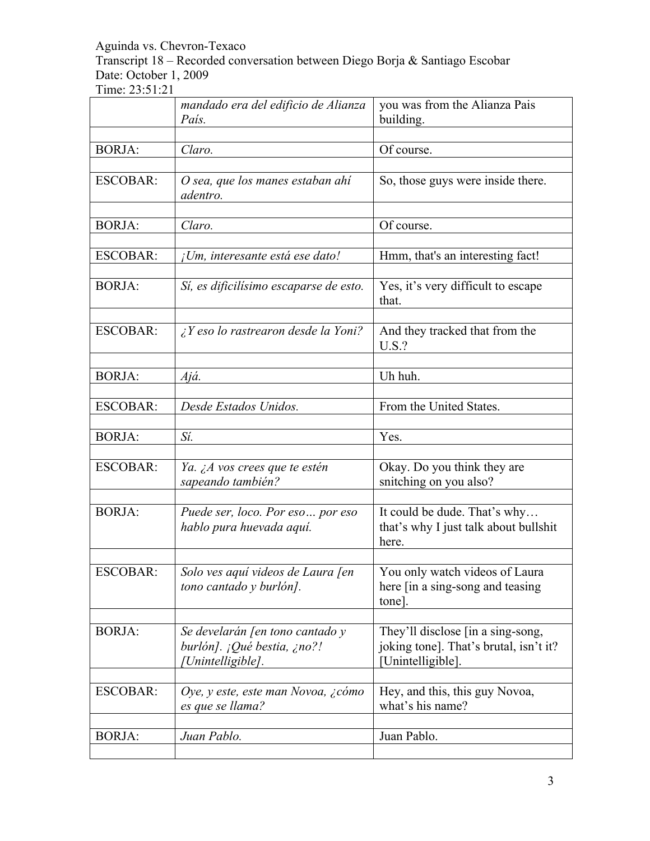Transcript 18 – Recorded conversation between Diego Borja & Santiago Escobar Date: October 1, 2009

|                 | mandado era del edificio de Alianza<br>País.                                        | you was from the Alianza Pais<br>building.                                                       |
|-----------------|-------------------------------------------------------------------------------------|--------------------------------------------------------------------------------------------------|
|                 |                                                                                     |                                                                                                  |
| <b>BORJA:</b>   | Claro.                                                                              | Of course.                                                                                       |
| <b>ESCOBAR:</b> | O sea, que los manes estaban ahí<br>adentro.                                        | So, those guys were inside there.                                                                |
| <b>BORJA:</b>   | Claro.                                                                              | Of course.                                                                                       |
| <b>ESCOBAR:</b> | ¡Um, interesante está ese dato!                                                     | Hmm, that's an interesting fact!                                                                 |
| <b>BORJA:</b>   | Sí, es dificilísimo escaparse de esto.                                              | Yes, it's very difficult to escape<br>that.                                                      |
| <b>ESCOBAR:</b> | $\lambda$ Y eso lo rastrearon desde la Yoni?                                        | And they tracked that from the<br>U.S.?                                                          |
| <b>BORJA:</b>   | Ajá.                                                                                | Uh huh.                                                                                          |
| <b>ESCOBAR:</b> | Desde Estados Unidos.                                                               | From the United States.                                                                          |
| <b>BORJA:</b>   | Sí.                                                                                 | Yes.                                                                                             |
| <b>ESCOBAR:</b> | Ya. ¿A vos crees que te estén<br>sapeando también?                                  | Okay. Do you think they are<br>snitching on you also?                                            |
| <b>BORJA:</b>   | Puede ser, loco. Por eso por eso<br>hablo pura huevada aquí.                        | It could be dude. That's why<br>that's why I just talk about bullshit<br>here.                   |
| <b>ESCOBAR:</b> | Solo ves aquí videos de Laura [en<br>tono cantado y burlón].                        | You only watch videos of Laura<br>here [in a sing-song and teasing]<br>tone].                    |
| <b>BORJA:</b>   | Se develarán [en tono cantado y<br>burlón]. ¡Qué bestia, ¿no?!<br>[Unintelligible]. | They'll disclose [in a sing-song,<br>joking tone]. That's brutal, isn't it?<br>[Unintelligible]. |
| <b>ESCOBAR:</b> | Oye, y este, este man Novoa, ¿cómo<br>es que se llama?                              | Hey, and this, this guy Novoa,<br>what's his name?                                               |
| <b>BORJA:</b>   | Juan Pablo.                                                                         | Juan Pablo.                                                                                      |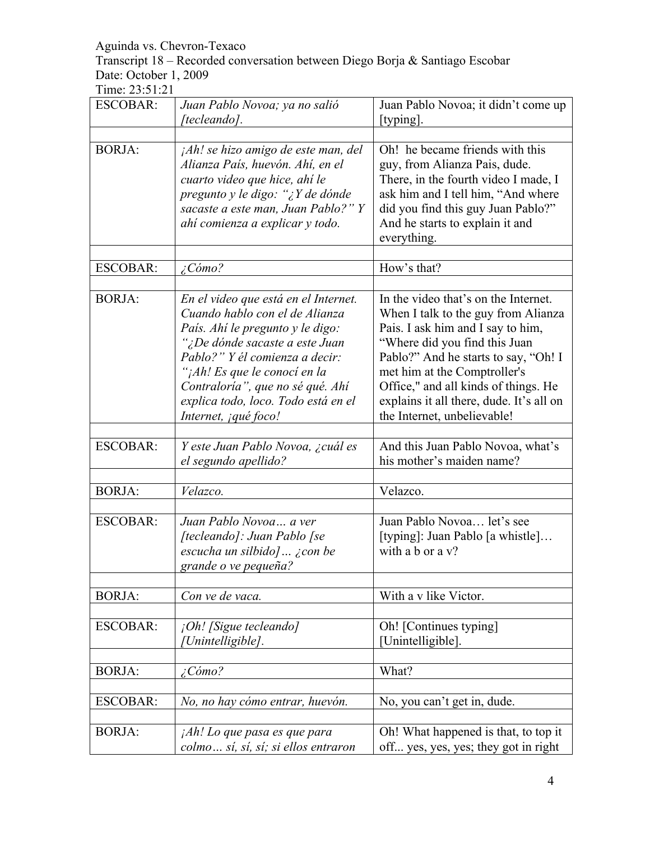Transcript 18 – Recorded conversation between Diego Borja & Santiago Escobar Date: October 1, 2009

| <b>ESCOBAR:</b> | Juan Pablo Novoa; ya no salió<br>[tecleando].                                                                                                                                                                                                                                                                                  | Juan Pablo Novoa; it didn't come up<br>[typing].                                                                                                                                                                                                                                                                                             |
|-----------------|--------------------------------------------------------------------------------------------------------------------------------------------------------------------------------------------------------------------------------------------------------------------------------------------------------------------------------|----------------------------------------------------------------------------------------------------------------------------------------------------------------------------------------------------------------------------------------------------------------------------------------------------------------------------------------------|
|                 |                                                                                                                                                                                                                                                                                                                                |                                                                                                                                                                                                                                                                                                                                              |
| <b>BORJA:</b>   | jAh! se hizo amigo de este man, del<br>Alianza País, huevón. Ahí, en el<br>cuarto video que hice, ahí le<br>pregunto y le digo: "¿Y de dónde<br>sacaste a este man, Juan Pablo?" Y<br>ahí comienza a explicar y todo.                                                                                                          | Oh! he became friends with this<br>guy, from Alianza Pais, dude.<br>There, in the fourth video I made, I<br>ask him and I tell him, "And where<br>did you find this guy Juan Pablo?"<br>And he starts to explain it and<br>everything.                                                                                                       |
| <b>ESCOBAR:</b> | $\angle$ Cómo?                                                                                                                                                                                                                                                                                                                 | How's that?                                                                                                                                                                                                                                                                                                                                  |
|                 |                                                                                                                                                                                                                                                                                                                                |                                                                                                                                                                                                                                                                                                                                              |
| <b>BORJA:</b>   | En el video que está en el Internet.<br>Cuando hablo con el de Alianza<br>País. Ahí le pregunto y le digo:<br>";De dónde sacaste a este Juan<br>Pablo?" Y él comienza a decir:<br>' <sub>i</sub> Ah! Es que le conocí en la<br>Contraloría", que no sé qué. Ahí<br>explica todo, loco. Todo está en el<br>Internet, jqué foco! | In the video that's on the Internet.<br>When I talk to the guy from Alianza<br>Pais. I ask him and I say to him,<br>"Where did you find this Juan<br>Pablo?" And he starts to say, "Oh! I<br>met him at the Comptroller's<br>Office," and all kinds of things. He<br>explains it all there, dude. It's all on<br>the Internet, unbelievable! |
| <b>ESCOBAR:</b> | Y este Juan Pablo Novoa, ¿cuál es<br>el segundo apellido?                                                                                                                                                                                                                                                                      | And this Juan Pablo Novoa, what's<br>his mother's maiden name?                                                                                                                                                                                                                                                                               |
|                 |                                                                                                                                                                                                                                                                                                                                |                                                                                                                                                                                                                                                                                                                                              |
| <b>BORJA:</b>   | Velazco.                                                                                                                                                                                                                                                                                                                       | Velazco.                                                                                                                                                                                                                                                                                                                                     |
| <b>ESCOBAR:</b> | Juan Pablo Novoa a ver<br>[tecleando]: Juan Pablo [se<br>escucha un silbido]  ¿con be<br>grande o ve pequeña?                                                                                                                                                                                                                  | Juan Pablo Novoa let's see<br>[typing]: Juan Pablo [a whistle]<br>with a b or a v?                                                                                                                                                                                                                                                           |
| <b>BORJA:</b>   | Con ve de vaca.                                                                                                                                                                                                                                                                                                                | With a v like Victor.                                                                                                                                                                                                                                                                                                                        |
| <b>ESCOBAR:</b> | ¡Oh! [Sigue tecleando]<br>[Unintelligible].                                                                                                                                                                                                                                                                                    | Oh! [Continues typing]<br>[Unintelligible].                                                                                                                                                                                                                                                                                                  |
| <b>BORJA:</b>   | $\angle$ Cómo?                                                                                                                                                                                                                                                                                                                 | What?                                                                                                                                                                                                                                                                                                                                        |
| <b>ESCOBAR:</b> | No, no hay cómo entrar, huevón.                                                                                                                                                                                                                                                                                                | No, you can't get in, dude.                                                                                                                                                                                                                                                                                                                  |
| <b>BORJA:</b>   | <i>Ah! Lo que pasa es que para</i><br>colmo sí, sí, sí; si ellos entraron                                                                                                                                                                                                                                                      | Oh! What happened is that, to top it<br>off yes, yes, yes; they got in right                                                                                                                                                                                                                                                                 |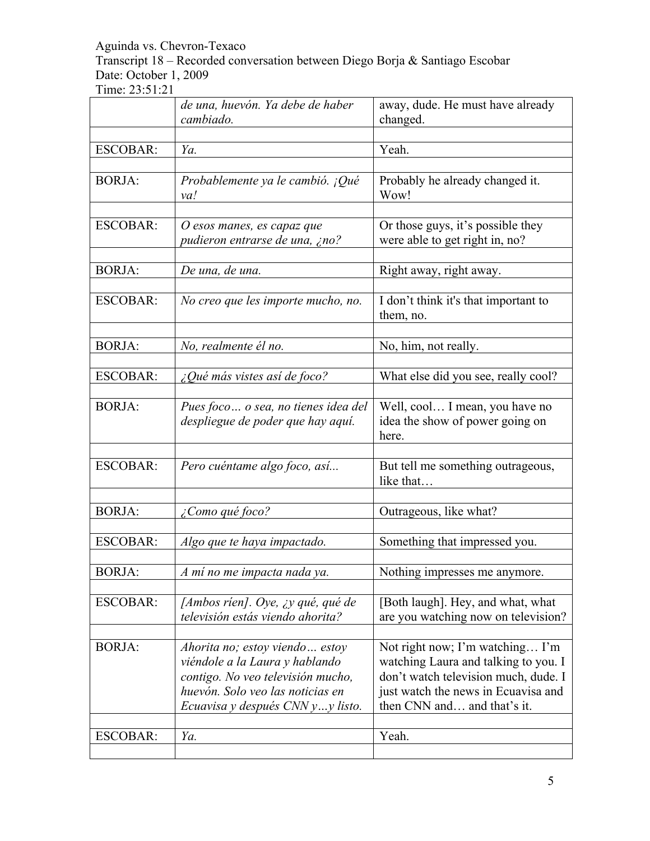Transcript 18 – Recorded conversation between Diego Borja & Santiago Escobar Date: October 1, 2009

|                 | de una, huevón. Ya debe de haber<br>cambiado.                             | away, dude. He must have already<br>changed.                               |
|-----------------|---------------------------------------------------------------------------|----------------------------------------------------------------------------|
|                 |                                                                           |                                                                            |
| <b>ESCOBAR:</b> | Ya.                                                                       | Yeah.                                                                      |
|                 |                                                                           |                                                                            |
| <b>BORJA:</b>   | Probablemente ya le cambió. ¡Qué<br>va!                                   | Probably he already changed it.<br>Wow!                                    |
|                 |                                                                           |                                                                            |
| <b>ESCOBAR:</b> | O esos manes, es capaz que                                                | Or those guys, it's possible they                                          |
|                 | pudieron entrarse de una, ¿no?                                            | were able to get right in, no?                                             |
|                 |                                                                           |                                                                            |
| <b>BORJA:</b>   | De una, de una.                                                           | Right away, right away.                                                    |
|                 |                                                                           |                                                                            |
| <b>ESCOBAR:</b> | No creo que les importe mucho, no.                                        | I don't think it's that important to<br>them, no.                          |
|                 |                                                                           |                                                                            |
| <b>BORJA:</b>   | No, realmente él no.                                                      | No, him, not really.                                                       |
|                 |                                                                           |                                                                            |
| <b>ESCOBAR:</b> | ¿Qué más vistes así de foco?                                              | What else did you see, really cool?                                        |
|                 |                                                                           |                                                                            |
| <b>BORJA:</b>   | Pues foco  o sea, no tienes idea del<br>despliegue de poder que hay aquí. | Well, cool I mean, you have no<br>idea the show of power going on<br>here. |
|                 |                                                                           |                                                                            |
| <b>ESCOBAR:</b> | Pero cuéntame algo foco, así                                              | But tell me something outrageous,<br>like that                             |
|                 |                                                                           |                                                                            |
| <b>BORJA:</b>   | ¿Como qué foco?                                                           | Outrageous, like what?                                                     |
|                 |                                                                           |                                                                            |
| <b>ESCOBAR:</b> | Algo que te haya impactado.                                               | Something that impressed you.                                              |
| <b>BORJA:</b>   | A mí no me impacta nada ya.                                               | Nothing impresses me anymore.                                              |
|                 |                                                                           |                                                                            |
| <b>ESCOBAR:</b> | [Ambos rien]. Oye, $\chi y$ qué, qué de                                   | [Both laugh]. Hey, and what, what                                          |
|                 | televisión estás viendo ahorita?                                          | are you watching now on television?                                        |
|                 |                                                                           |                                                                            |
| <b>BORJA:</b>   | Ahorita no; estoy viendo estoy                                            | Not right now; I'm watching I'm                                            |
|                 | viéndole a la Laura y hablando                                            | watching Laura and talking to you. I                                       |
|                 | contigo. No veo televisión mucho,                                         | don't watch television much, dude. I                                       |
|                 | huevón. Solo veo las noticias en                                          | just watch the news in Ecuavisa and                                        |
|                 | Ecuavisa y después CNN yy listo.                                          | then CNN and and that's it.                                                |
|                 |                                                                           |                                                                            |
| <b>ESCOBAR:</b> | Ya.                                                                       | Yeah.                                                                      |
|                 |                                                                           |                                                                            |